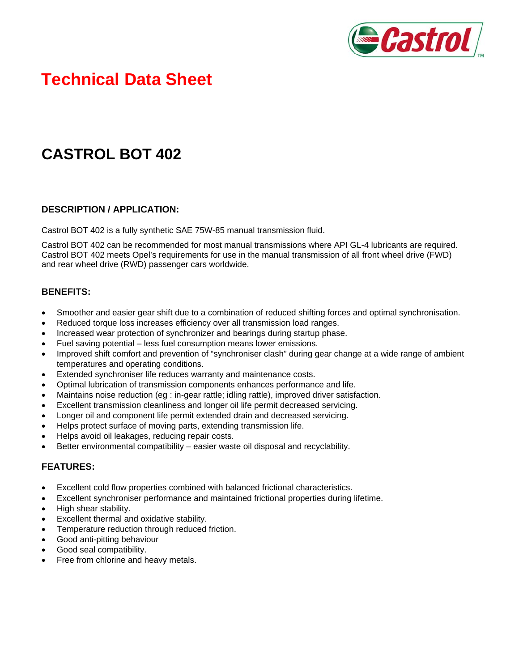

# **Technical Data Sheet**

## **CASTROL BOT 402**

#### **DESCRIPTION / APPLICATION:**

Castrol BOT 402 is a fully synthetic SAE 75W-85 manual transmission fluid.

Castrol BOT 402 can be recommended for most manual transmissions where API GL-4 lubricants are required. Castrol BOT 402 meets Opel's requirements for use in the manual transmission of all front wheel drive (FWD) and rear wheel drive (RWD) passenger cars worldwide.

#### **BENEFITS:**

- Smoother and easier gear shift due to a combination of reduced shifting forces and optimal synchronisation.
- Reduced torque loss increases efficiency over all transmission load ranges.
- Increased wear protection of synchronizer and bearings during startup phase.
- Fuel saving potential less fuel consumption means lower emissions.
- Improved shift comfort and prevention of "synchroniser clash" during gear change at a wide range of ambient temperatures and operating conditions.
- Extended synchroniser life reduces warranty and maintenance costs.
- Optimal lubrication of transmission components enhances performance and life.
- Maintains noise reduction (eg : in-gear rattle; idling rattle), improved driver satisfaction.
- Excellent transmission cleanliness and longer oil life permit decreased servicing.
- Longer oil and component life permit extended drain and decreased servicing.
- Helps protect surface of moving parts, extending transmission life.
- Helps avoid oil leakages, reducing repair costs.
- Better environmental compatibility easier waste oil disposal and recyclability.

#### **FEATURES:**

- Excellent cold flow properties combined with balanced frictional characteristics.
- Excellent synchroniser performance and maintained frictional properties during lifetime.
- High shear stability.
- Excellent thermal and oxidative stability.
- Temperature reduction through reduced friction.
- Good anti-pitting behaviour
- Good seal compatibility.
- Free from chlorine and heavy metals.